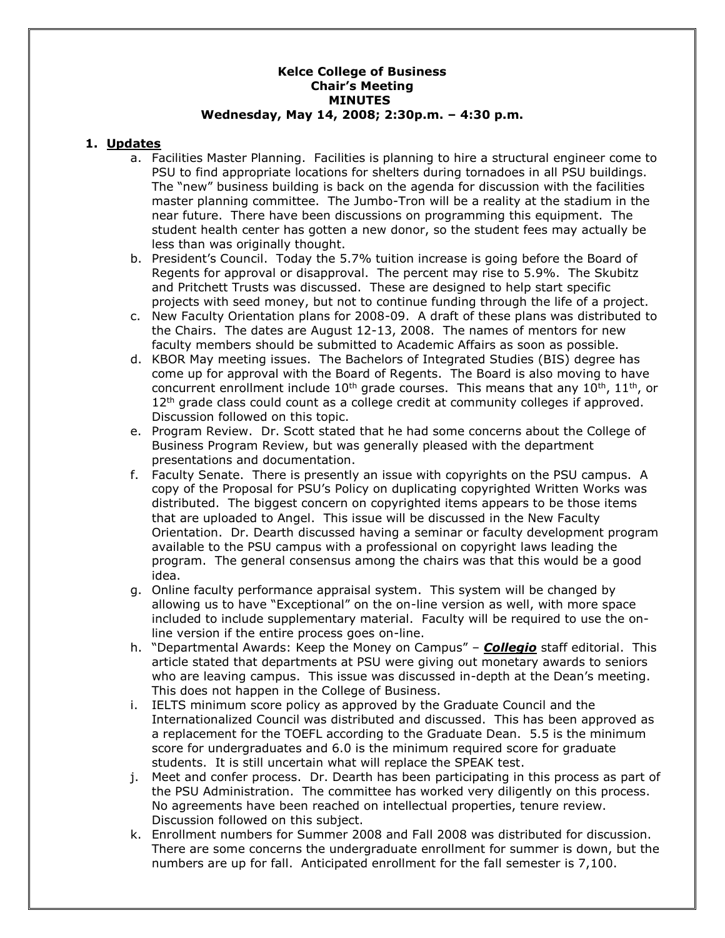### **Kelce College of Business Chair's Meeting MINUTES Wednesday, May 14, 2008; 2:30p.m. – 4:30 p.m.**

### **1. Updates**

- a. Facilities Master Planning. Facilities is planning to hire a structural engineer come to PSU to find appropriate locations for shelters during tornadoes in all PSU buildings. The "new" business building is back on the agenda for discussion with the facilities master planning committee. The Jumbo-Tron will be a reality at the stadium in the near future. There have been discussions on programming this equipment. The student health center has gotten a new donor, so the student fees may actually be less than was originally thought.
- b. President's Council. Today the 5.7% tuition increase is going before the Board of Regents for approval or disapproval. The percent may rise to 5.9%. The Skubitz and Pritchett Trusts was discussed. These are designed to help start specific projects with seed money, but not to continue funding through the life of a project.
- c. New Faculty Orientation plans for 2008-09. A draft of these plans was distributed to the Chairs. The dates are August 12-13, 2008. The names of mentors for new faculty members should be submitted to Academic Affairs as soon as possible.
- d. KBOR May meeting issues. The Bachelors of Integrated Studies (BIS) degree has come up for approval with the Board of Regents. The Board is also moving to have concurrent enrollment include  $10^{th}$  grade courses. This means that any  $10^{th}$ ,  $11^{th}$ , or 12<sup>th</sup> grade class could count as a college credit at community colleges if approved. Discussion followed on this topic.
- e. Program Review. Dr. Scott stated that he had some concerns about the College of Business Program Review, but was generally pleased with the department presentations and documentation.
- f. Faculty Senate. There is presently an issue with copyrights on the PSU campus. A copy of the Proposal for PSU's Policy on duplicating copyrighted Written Works was distributed. The biggest concern on copyrighted items appears to be those items that are uploaded to Angel. This issue will be discussed in the New Faculty Orientation. Dr. Dearth discussed having a seminar or faculty development program available to the PSU campus with a professional on copyright laws leading the program. The general consensus among the chairs was that this would be a good idea.
- g. Online faculty performance appraisal system. This system will be changed by allowing us to have "Exceptional" on the on-line version as well, with more space included to include supplementary material. Faculty will be required to use the online version if the entire process goes on-line.
- h. "Departmental Awards: Keep the Money on Campus" *Collegio* staff editorial. This article stated that departments at PSU were giving out monetary awards to seniors who are leaving campus. This issue was discussed in-depth at the Dean's meeting. This does not happen in the College of Business.
- i. IELTS minimum score policy as approved by the Graduate Council and the Internationalized Council was distributed and discussed. This has been approved as a replacement for the TOEFL according to the Graduate Dean. 5.5 is the minimum score for undergraduates and 6.0 is the minimum required score for graduate students. It is still uncertain what will replace the SPEAK test.
- j. Meet and confer process. Dr. Dearth has been participating in this process as part of the PSU Administration. The committee has worked very diligently on this process. No agreements have been reached on intellectual properties, tenure review. Discussion followed on this subject.
- k. Enrollment numbers for Summer 2008 and Fall 2008 was distributed for discussion. There are some concerns the undergraduate enrollment for summer is down, but the numbers are up for fall. Anticipated enrollment for the fall semester is 7,100.